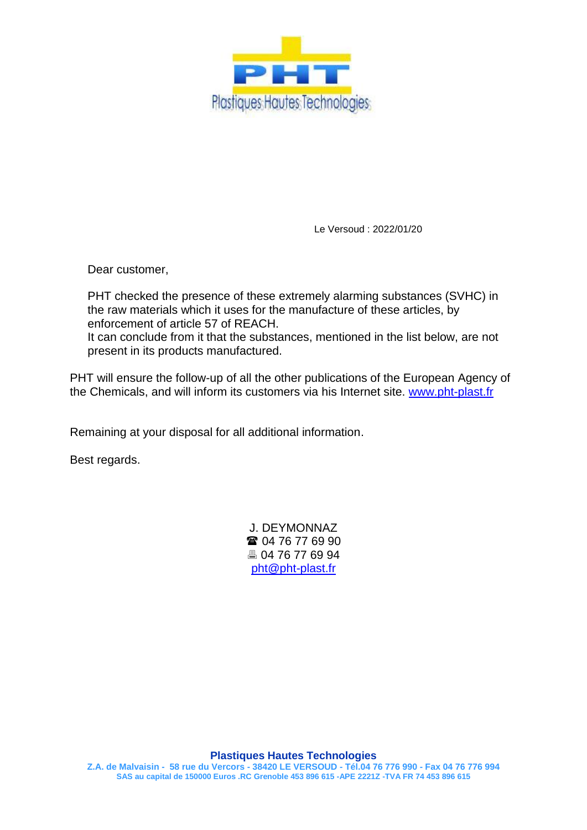

Le Versoud : 2022/01/20

Dear customer,

PHT checked the presence of these extremely alarming substances (SVHC) in the raw materials which it uses for the manufacture of these articles, by enforcement of article 57 of REACH. It can conclude from it that the substances, mentioned in the list below, are not

present in its products manufactured.

PHT will ensure the follow-up of all the other publications of the European Agency of the Chemicals, and will inform its customers via his Internet site. [www.pht-plast.fr](http://www.pht-plast.fr/)

Remaining at your disposal for all additional information.

Best regards.

J. DEYMONNAZ **■ 04 76 77 69 90**  04 76 77 69 94 [pht@pht-plast.fr](mailto:pht@pht-plast.fr)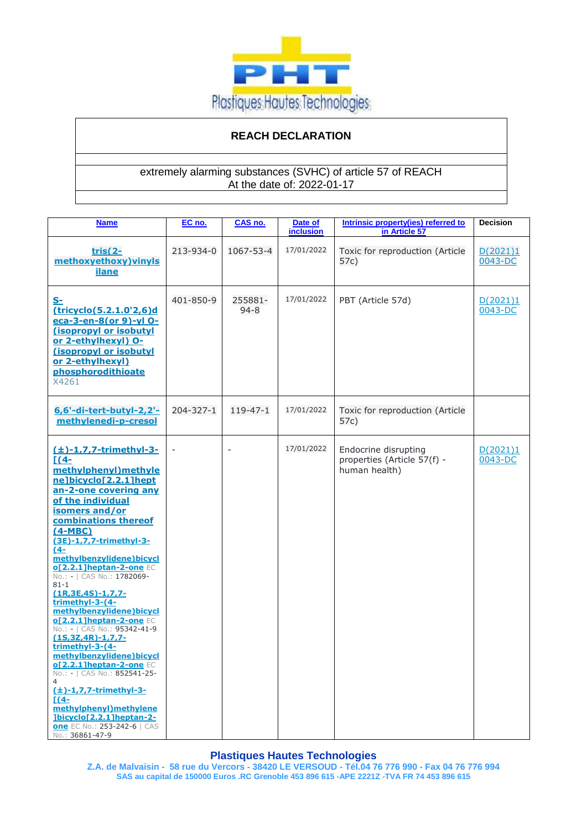

# **REACH DECLARATION**

# extremely alarming substances (SVHC) of article 57 of REACH At the date of: 2022-01-17

| <b>Name</b>                                                                                                                                                                                                                                                                                                                                                                                                                                                                                                                                                                                                                                                                                                                                                                                       | EC no.    | CAS no.             | Date of<br><b>inclusion</b> | Intrinsic property(ies) referred to<br>in Article 57                 | <b>Decision</b>     |
|---------------------------------------------------------------------------------------------------------------------------------------------------------------------------------------------------------------------------------------------------------------------------------------------------------------------------------------------------------------------------------------------------------------------------------------------------------------------------------------------------------------------------------------------------------------------------------------------------------------------------------------------------------------------------------------------------------------------------------------------------------------------------------------------------|-----------|---------------------|-----------------------------|----------------------------------------------------------------------|---------------------|
| <u>tris(2-</u><br>methoxyethoxy) vinyls<br><b>ilane</b>                                                                                                                                                                                                                                                                                                                                                                                                                                                                                                                                                                                                                                                                                                                                           | 213-934-0 | 1067-53-4           | 17/01/2022                  | Toxic for reproduction (Article<br>57c)                              | D(2021)1<br>0043-DC |
| <u>S-</u><br>(tricyclo(5.2.1.0'2,6)d<br>eca-3-en-8(or 9)-yl O-<br>(isopropyl or isobutyl<br>or 2-ethylhexyl) O-<br>(isopropyl or isobutyl<br>or 2-ethylhexyl)<br>phosphorodithioate<br>X4261                                                                                                                                                                                                                                                                                                                                                                                                                                                                                                                                                                                                      | 401-850-9 | 255881-<br>$94 - 8$ | 17/01/2022                  | PBT (Article 57d)                                                    | D(2021)1<br>0043-DC |
| 6,6'-di-tert-butyl-2,2'-<br>methylenedi-p-cresol                                                                                                                                                                                                                                                                                                                                                                                                                                                                                                                                                                                                                                                                                                                                                  | 204-327-1 | $119 - 47 - 1$      | 17/01/2022                  | Toxic for reproduction (Article<br>57c)                              |                     |
| $(\pm)$ -1,7,7-trimethyl-3-<br>$\Gamma$ (4-<br>methylphenyl) methyle<br>ne]bicyclo[2.2.1]hept<br>an-2-one covering any<br>of the individual<br>isomers and/or<br>combinations thereof<br>$(4-MBC)$<br>(3E)-1,7,7-trimethyl-3-<br>(4–<br>methylbenzylidene) bicycl<br><b>of 2.2.1 lheptan-2-one EC</b><br>No.: -   CAS No.: 1782069-<br>$81 - 1$<br>$(1R, 3E, 4S) - 1, 7, 7 -$<br>trimethyl-3-(4-<br>methylbenzylidene)bicycl<br>ol2.2.11heptan-2-one EC<br>No.: -   CAS No.: 95342-41-9<br>$(1S, 3Z, 4R) - 1, 7, 7 -$<br>trimethyl-3-(4-<br>methylbenzylidene)bicycl<br><b>of 2.2.1 lheptan-2-one EC</b><br>No.: -   CAS No.: 852541-25-<br>$(\pm)$ -1,7,7-trimethyl-3-<br>$[(4-$<br>methylphenyl) methylene<br>lbicyclo[2.2.1]heptan-2-<br><b>one</b> EC No.: 253-242-6   CAS<br>No.: 36861-47-9 |           |                     | 17/01/2022                  | Endocrine disrupting<br>properties (Article 57(f) -<br>human health) | D(2021)1<br>0043-DC |

# **Plastiques Hautes Technologies**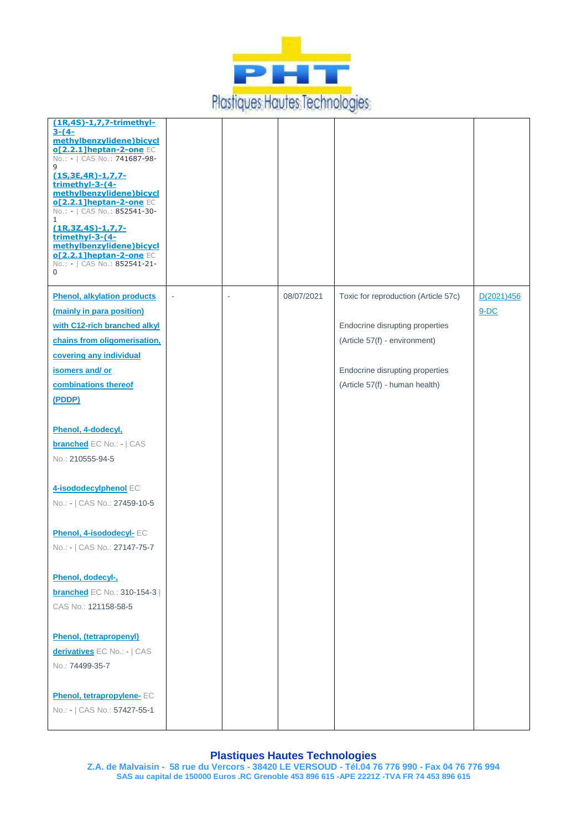

| $(1R, 4S) - 1, 7, 7$ -trimethyl-<br>$3-(4-$<br>methylbenzylidene)bicycl<br>o[2.2.1]heptan-2-one EC<br>No.: -   CAS No.: 741687-98-<br>9<br>$(1S, 3E, 4R) - 1, 7, 7 -$<br>trimethyl-3-(4-<br>methylbenzylidene)bicycl<br>of 2.2.1 lheptan-2-one EC<br>No.: -   CAS No.: 852541-30-<br>$\mathbf{1}$<br>$(1R, 3Z, 4S) - 1, 7, 7 -$<br>trimethyl-3-(4-<br>methylbenzylidene)bicycl<br>o[2.2.1]heptan-2-one EC<br>No.: -   CAS No.: 852541-21-<br>0 |        |            |                                                                                                                                                                               |                      |
|------------------------------------------------------------------------------------------------------------------------------------------------------------------------------------------------------------------------------------------------------------------------------------------------------------------------------------------------------------------------------------------------------------------------------------------------|--------|------------|-------------------------------------------------------------------------------------------------------------------------------------------------------------------------------|----------------------|
| <b>Phenol, alkylation products</b><br>(mainly in para position)<br>with C12-rich branched alkyl<br>chains from oligomerisation,<br>covering any individual<br>isomers and/ or<br>combinations thereof<br>(PDDP)                                                                                                                                                                                                                                | $\sim$ | 08/07/2021 | Toxic for reproduction (Article 57c)<br>Endocrine disrupting properties<br>(Article 57(f) - environment)<br>Endocrine disrupting properties<br>(Article 57(f) - human health) | D(2021)456<br>$9-DC$ |
| Phenol, 4-dodecyl,<br><b>branched</b> EC No.: -   CAS<br>No.: 210555-94-5<br>4-isododecylphenol EC<br>No.: -   CAS No.: 27459-10-5                                                                                                                                                                                                                                                                                                             |        |            |                                                                                                                                                                               |                      |
| Phenol, 4-isododecyl- EC<br>No.: -   CAS No.: 27147-75-7<br>Phenol, dodecyl-,<br><b>branched</b> EC No.: 310-154-3  <br>CAS No.: 121158-58-5                                                                                                                                                                                                                                                                                                   |        |            |                                                                                                                                                                               |                      |
| <b>Phenol, (tetrapropenyl)</b><br>derivatives EC No.: -   CAS<br>No.: 74499-35-7<br><b>Phenol, tetrapropylene- EC</b><br>No.: -   CAS No.: 57427-55-1                                                                                                                                                                                                                                                                                          |        |            |                                                                                                                                                                               |                      |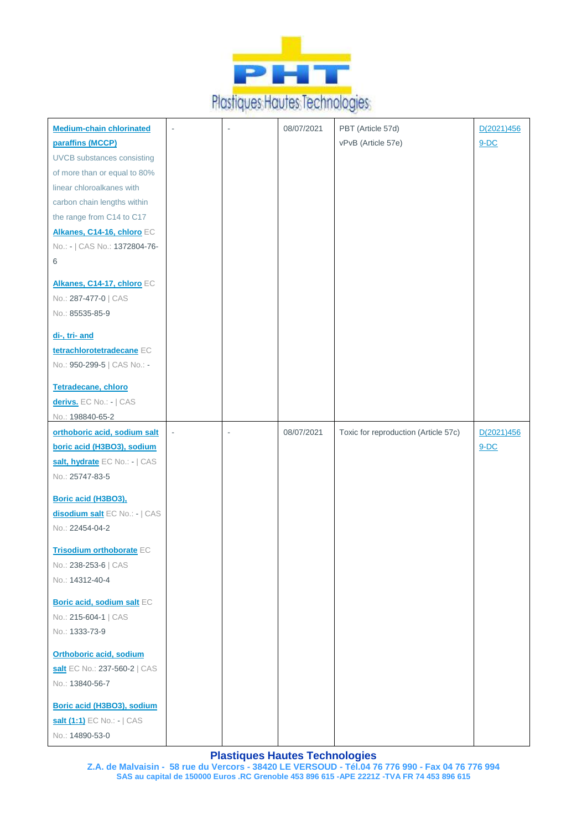

| <b>Medium-chain chlorinated</b>                                                   | ÷,             |    | 08/07/2021 | PBT (Article 57d)                    | D(2021)456 |
|-----------------------------------------------------------------------------------|----------------|----|------------|--------------------------------------|------------|
| paraffins (MCCP)                                                                  |                |    |            | vPvB (Article 57e)                   | $9-DC$     |
| <b>UVCB</b> substances consisting                                                 |                |    |            |                                      |            |
| of more than or equal to 80%                                                      |                |    |            |                                      |            |
|                                                                                   |                |    |            |                                      |            |
| linear chloroalkanes with                                                         |                |    |            |                                      |            |
| carbon chain lengths within                                                       |                |    |            |                                      |            |
| the range from C14 to C17                                                         |                |    |            |                                      |            |
| Alkanes, C14-16, chloro EC                                                        |                |    |            |                                      |            |
| No.: -   CAS No.: 1372804-76-                                                     |                |    |            |                                      |            |
| 6                                                                                 |                |    |            |                                      |            |
| Alkanes, C14-17, chloro EC                                                        |                |    |            |                                      |            |
| No.: 287-477-0   CAS                                                              |                |    |            |                                      |            |
| No.: 85535-85-9                                                                   |                |    |            |                                      |            |
| di-, tri- and                                                                     |                |    |            |                                      |            |
| tetrachlorotetradecane EC                                                         |                |    |            |                                      |            |
| No.: 950-299-5   CAS No.: -                                                       |                |    |            |                                      |            |
|                                                                                   |                |    |            |                                      |            |
| Tetradecane, chloro                                                               |                |    |            |                                      |            |
| derivs. EC No.: -   CAS                                                           |                |    |            |                                      |            |
| No.: 198840-65-2                                                                  |                |    |            |                                      |            |
| orthoboric acid, sodium salt                                                      | $\blacksquare$ | ÷, | 08/07/2021 | Toxic for reproduction (Article 57c) | D(2021)456 |
| boric acid (H3BO3), sodium                                                        |                |    |            |                                      | $9-DC$     |
| salt, hydrate EC No.: -   CAS                                                     |                |    |            |                                      |            |
| No.: 25747-83-5                                                                   |                |    |            |                                      |            |
| Boric acid (H3BO3),                                                               |                |    |            |                                      |            |
| disodium salt EC No.: -   CAS                                                     |                |    |            |                                      |            |
| No.: 22454-04-2                                                                   |                |    |            |                                      |            |
|                                                                                   |                |    |            |                                      |            |
| Trisodium orthoborate EC                                                          |                |    |            |                                      |            |
| No.: 238-253-6   CAS                                                              |                |    |            |                                      |            |
| No.: 14312-40-4                                                                   |                |    |            |                                      |            |
| Boric acid, sodium salt EC                                                        |                |    |            |                                      |            |
| No.: 215-604-1   CAS                                                              |                |    |            |                                      |            |
| No.: 1333-73-9                                                                    |                |    |            |                                      |            |
|                                                                                   |                |    |            |                                      |            |
|                                                                                   |                |    |            |                                      |            |
|                                                                                   |                |    |            |                                      |            |
|                                                                                   |                |    |            |                                      |            |
| Boric acid (H3BO3), sodium                                                        |                |    |            |                                      |            |
| salt (1:1) EC No.: -   CAS                                                        |                |    |            |                                      |            |
| No.: 14890-53-0                                                                   |                |    |            |                                      |            |
| <b>Orthoboric acid, sodium</b><br>salt EC No.: 237-560-2   CAS<br>No.: 13840-56-7 |                |    |            |                                      |            |
|                                                                                   |                |    |            |                                      |            |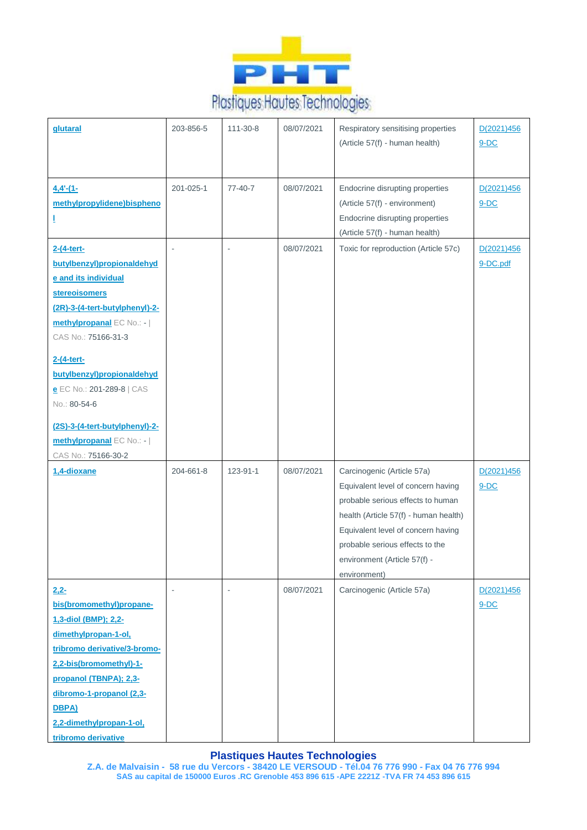

| glutaral                                                                                                                                                                                                                                                                                                                                                        | 203-856-5                | 111-30-8  | 08/07/2021 | Respiratory sensitising properties<br>(Article 57(f) - human health)                                                                                                                                                                                                    | D(2021)456<br>$9-DC$   |
|-----------------------------------------------------------------------------------------------------------------------------------------------------------------------------------------------------------------------------------------------------------------------------------------------------------------------------------------------------------------|--------------------------|-----------|------------|-------------------------------------------------------------------------------------------------------------------------------------------------------------------------------------------------------------------------------------------------------------------------|------------------------|
| $4.4 - 11$<br>methylpropylidene)bispheno<br>I                                                                                                                                                                                                                                                                                                                   | 201-025-1                | $77-40-7$ | 08/07/2021 | Endocrine disrupting properties<br>(Article 57(f) - environment)<br>Endocrine disrupting properties<br>(Article 57(f) - human health)                                                                                                                                   | D(2021)456<br>$9-DC$   |
| 2-(4-tert-<br>butylbenzyl)propionaldehyd<br>e and its individual<br><b>stereoisomers</b><br>(2R)-3-(4-tert-butylphenyl)-2-<br>methylpropanal EC No.: -  <br>CAS No.: 75166-31-3<br>2-(4-tert-<br>butylbenzyl)propionaldehyd<br>e EC No.: 201-289-8   CAS<br>No.: 80-54-6<br>(2S)-3-(4-tert-butylphenyl)-2-<br>methylpropanal EC No.: -  <br>CAS No.: 75166-30-2 | $\overline{\phantom{a}}$ |           | 08/07/2021 | Toxic for reproduction (Article 57c)                                                                                                                                                                                                                                    | D(2021)456<br>9-DC.pdf |
| 1.4-dioxane                                                                                                                                                                                                                                                                                                                                                     | 204-661-8                | 123-91-1  | 08/07/2021 | Carcinogenic (Article 57a)<br>Equivalent level of concern having<br>probable serious effects to human<br>health (Article 57(f) - human health)<br>Equivalent level of concern having<br>probable serious effects to the<br>environment (Article 57(f) -<br>environment) | D(2021)456<br>$9-DC$   |
| $2,2-$<br>bis(bromomethyl)propane-<br>1,3-diol (BMP); 2,2-<br>dimethylpropan-1-ol,<br>tribromo derivative/3-bromo-<br>2,2-bis(bromomethyl)-1-<br>propanol (TBNPA); 2,3-<br>dibromo-1-propanol (2,3-<br>DBPA)<br>2,2-dimethylpropan-1-ol,<br>tribromo derivative                                                                                                 | $\sim$                   |           | 08/07/2021 | Carcinogenic (Article 57a)                                                                                                                                                                                                                                              | D(2021)456<br>$9-DC$   |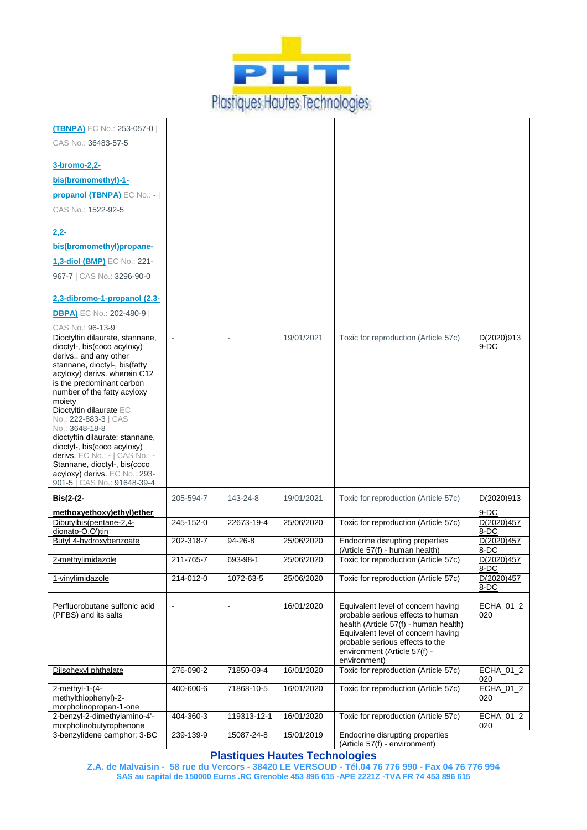

| <b>(TBNPA)</b> EC No.: 253-057-0                                                                                                                                                                                                           |           |               |            |                                                                                                                                                                                                                                           |                    |
|--------------------------------------------------------------------------------------------------------------------------------------------------------------------------------------------------------------------------------------------|-----------|---------------|------------|-------------------------------------------------------------------------------------------------------------------------------------------------------------------------------------------------------------------------------------------|--------------------|
| CAS No.: 36483-57-5                                                                                                                                                                                                                        |           |               |            |                                                                                                                                                                                                                                           |                    |
| 3-bromo-2,2-                                                                                                                                                                                                                               |           |               |            |                                                                                                                                                                                                                                           |                    |
| bis(bromomethyl)-1-                                                                                                                                                                                                                        |           |               |            |                                                                                                                                                                                                                                           |                    |
| propanol (TBNPA) EC No.: -                                                                                                                                                                                                                 |           |               |            |                                                                                                                                                                                                                                           |                    |
| CAS No.: 1522-92-5                                                                                                                                                                                                                         |           |               |            |                                                                                                                                                                                                                                           |                    |
| $2,2-$                                                                                                                                                                                                                                     |           |               |            |                                                                                                                                                                                                                                           |                    |
| bis(bromomethyl)propane-                                                                                                                                                                                                                   |           |               |            |                                                                                                                                                                                                                                           |                    |
| 1,3-diol (BMP) EC No.: 221-                                                                                                                                                                                                                |           |               |            |                                                                                                                                                                                                                                           |                    |
| 967-7   CAS No.: 3296-90-0                                                                                                                                                                                                                 |           |               |            |                                                                                                                                                                                                                                           |                    |
| 2,3-dibromo-1-propanol (2,3-                                                                                                                                                                                                               |           |               |            |                                                                                                                                                                                                                                           |                    |
| <b>DBPA)</b> EC No.: 202-480-9                                                                                                                                                                                                             |           |               |            |                                                                                                                                                                                                                                           |                    |
| CAS No.: 96-13-9<br>Dioctyltin dilaurate, stannane,                                                                                                                                                                                        |           |               | 19/01/2021 | Toxic for reproduction (Article 57c)                                                                                                                                                                                                      | D(2020)913         |
| dioctyl-, bis(coco acyloxy)<br>derivs., and any other<br>stannane, dioctyl-, bis(fatty<br>acyloxy) derivs. wherein C12<br>is the predominant carbon<br>number of the fatty acyloxy<br>moiety<br>Dioctyltin dilaurate EC                    |           |               |            |                                                                                                                                                                                                                                           | $9-DC$             |
| No.: 222-883-3   CAS<br>No.: 3648-18-8<br>dioctyltin dilaurate; stannane,<br>dioctyl-, bis(coco acyloxy)<br>derivs. EC No.: -   CAS No.: -<br>Stannane, dioctyl-, bis(coco<br>acyloxy) derivs. EC No.: 293-<br>901-5   CAS No.: 91648-39-4 |           |               |            |                                                                                                                                                                                                                                           |                    |
| $Bis(2-(2-$                                                                                                                                                                                                                                | 205-594-7 | 143-24-8      | 19/01/2021 | Toxic for reproduction (Article 57c)                                                                                                                                                                                                      | D(2020)913         |
| methoxyethoxy)ethyl)ether                                                                                                                                                                                                                  |           |               |            |                                                                                                                                                                                                                                           | 9-DC               |
| Dibutylbis(pentane-2,4-<br>dionato-O,O')tin                                                                                                                                                                                                | 245-152-0 | 22673-19-4    | 25/06/2020 | Toxic for reproduction (Article 57c)                                                                                                                                                                                                      | D(2020)457<br>8-DC |
| Butyl 4-hydroxybenzoate                                                                                                                                                                                                                    | 202-318-7 | $94 - 26 - 8$ | 25/06/2020 | Endocrine disrupting properties<br>(Article 57(f) - human health)                                                                                                                                                                         | D(2020)457<br>8-DC |
| 2-methvlimidazole                                                                                                                                                                                                                          | 211-765-7 | 693-98-1      | 25/06/2020 | Toxic for reproduction (Article 57c)                                                                                                                                                                                                      | D(2020)457<br>8-DC |
| 1-vinylimidazole                                                                                                                                                                                                                           | 214-012-0 | 1072-63-5     | 25/06/2020 | Toxic for reproduction (Article 57c)                                                                                                                                                                                                      | D(2020)457<br>8-DC |
| Perfluorobutane sulfonic acid<br>(PFBS) and its salts                                                                                                                                                                                      |           |               | 16/01/2020 | Equivalent level of concern having<br>probable serious effects to human<br>health (Article 57(f) - human health)<br>Equivalent level of concern having<br>probable serious effects to the<br>environment (Article 57(f) -<br>environment) | ECHA_01_2<br>020   |
| Diisohexyl phthalate                                                                                                                                                                                                                       | 276-090-2 | 71850-09-4    | 16/01/2020 | Toxic for reproduction (Article 57c)                                                                                                                                                                                                      | ECHA_01_2<br>020   |
| $2$ -methyl-1- $(4-$<br>methylthiophenyl)-2-<br>morpholinopropan-1-one                                                                                                                                                                     | 400-600-6 | 71868-10-5    | 16/01/2020 | Toxic for reproduction (Article 57c)                                                                                                                                                                                                      | ECHA_01_2<br>020   |
| 2-benzyl-2-dimethylamino-4'-<br>morpholinobutyrophenone                                                                                                                                                                                    | 404-360-3 | 119313-12-1   | 16/01/2020 | Toxic for reproduction (Article 57c)                                                                                                                                                                                                      | ECHA_01_2<br>020   |
| 3-benzylidene camphor; 3-BC                                                                                                                                                                                                                | 239-139-9 | 15087-24-8    | 15/01/2019 | Endocrine disrupting properties<br>(Article 57(f) - environment)                                                                                                                                                                          |                    |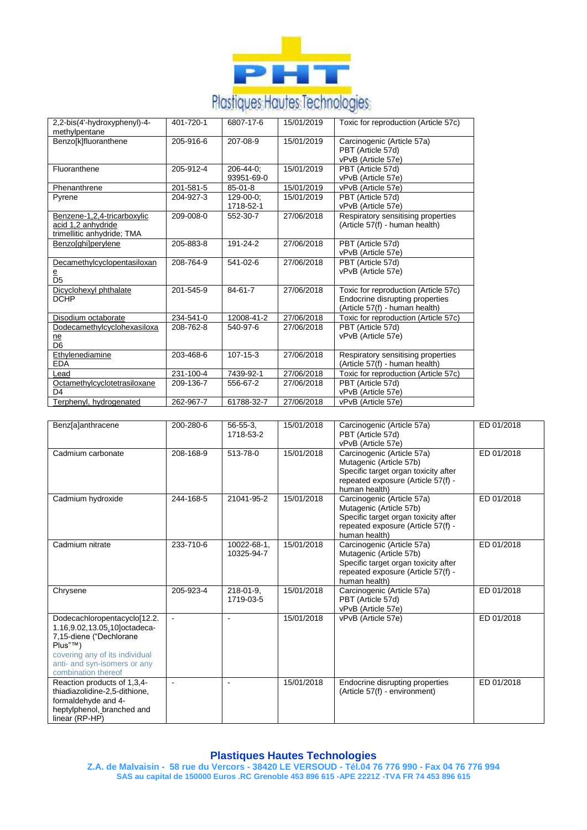

| 2,2-bis(4'-hydroxyphenyl)-4-<br>methylpentane                                   | 401-720-1 | 6807-17-6               | 15/01/2019 | Toxic for reproduction (Article 57c)                                                                      |
|---------------------------------------------------------------------------------|-----------|-------------------------|------------|-----------------------------------------------------------------------------------------------------------|
| Benzo[k]fluoranthene                                                            | 205-916-6 | 207-08-9                | 15/01/2019 | Carcinogenic (Article 57a)<br>PBT (Article 57d)<br>vPvB (Article 57e)                                     |
| Fluoranthene                                                                    | 205-912-4 | 206-44-0:<br>93951-69-0 | 15/01/2019 | PBT (Article 57d)<br>vPvB (Article 57e)                                                                   |
| Phenanthrene                                                                    | 201-581-5 | $85 - 01 - 8$           | 15/01/2019 | vPvB (Article 57e)                                                                                        |
| Pyrene                                                                          | 204-927-3 | 129-00-0:<br>1718-52-1  | 15/01/2019 | PBT (Article 57d)<br>vPvB (Article 57e)                                                                   |
| Benzene-1,2,4-tricarboxylic<br>acid 1,2 anhydride<br>trimellitic anhydride; TMA | 209-008-0 | 552-30-7                | 27/06/2018 | Respiratory sensitising properties<br>(Article 57(f) - human health)                                      |
| Benzo[ghi]perylene                                                              | 205-883-8 | 191-24-2                | 27/06/2018 | PBT (Article 57d)<br>vPvB (Article 57e)                                                                   |
| Decamethylcyclopentasiloxan<br>e<br>D <sub>5</sub>                              | 208-764-9 | 541-02-6                | 27/06/2018 | PBT (Article 57d)<br>vPvB (Article 57e)                                                                   |
| Dicyclohexyl phthalate<br><b>DCHP</b>                                           | 201-545-9 | 84-61-7                 | 27/06/2018 | Toxic for reproduction (Article 57c)<br>Endocrine disrupting properties<br>(Article 57(f) - human health) |
| Disodium octaborate                                                             | 234-541-0 | 12008-41-2              | 27/06/2018 | Toxic for reproduction (Article 57c)                                                                      |
| Dodecamethylcyclohexasiloxa<br>ne<br>D <sub>6</sub>                             | 208-762-8 | 540-97-6                | 27/06/2018 | PBT (Article 57d)<br>vPvB (Article 57e)                                                                   |
| Ethylenediamine<br><b>EDA</b>                                                   | 203-468-6 | $107 - 15 - 3$          | 27/06/2018 | Respiratory sensitising properties<br>(Article 57(f) - human health)                                      |
| .ead                                                                            | 231-100-4 | 7439-92-1               | 27/06/2018 | Toxic for reproduction (Article 57c)                                                                      |
| Octamethylcyclotetrasiloxane<br>D <sub>4</sub>                                  | 209-136-7 | 556-67-2                | 27/06/2018 | PBT (Article 57d)<br>vPvB (Article 57e)                                                                   |
| Terphenyl, hydrogenated                                                         | 262-967-7 | 61788-32-7              | 27/06/2018 | vPvB (Article 57e)                                                                                        |

| <b>Benz</b> [a]anthracene      | 200-280-6 | $56 - 55 - 3$  | 15/01/2018 | Carcinogenic (Article 57a)           | ED 01/2018 |
|--------------------------------|-----------|----------------|------------|--------------------------------------|------------|
|                                |           | 1718-53-2      |            | PBT (Article 57d)                    |            |
|                                |           |                |            | vPvB (Article 57e)                   |            |
| Cadmium carbonate              | 208-168-9 | 513-78-0       | 15/01/2018 | Carcinogenic (Article 57a)           | ED 01/2018 |
|                                |           |                |            | Mutagenic (Article 57b)              |            |
|                                |           |                |            | Specific target organ toxicity after |            |
|                                |           |                |            | repeated exposure (Article 57(f) -   |            |
|                                |           |                |            | human health)                        |            |
| Cadmium hydroxide              | 244-168-5 | 21041-95-2     | 15/01/2018 | Carcinogenic (Article 57a)           | ED 01/2018 |
|                                |           |                |            | Mutagenic (Article 57b)              |            |
|                                |           |                |            | Specific target organ toxicity after |            |
|                                |           |                |            | repeated exposure (Article 57(f) -   |            |
|                                |           |                |            | human health)                        |            |
| Cadmium nitrate                | 233-710-6 | 10022-68-1,    | 15/01/2018 | Carcinogenic (Article 57a)           | ED 01/2018 |
|                                |           | 10325-94-7     |            | Mutagenic (Article 57b)              |            |
|                                |           |                |            | Specific target organ toxicity after |            |
|                                |           |                |            | repeated exposure (Article 57(f) -   |            |
|                                |           |                |            | human health)                        |            |
| Chrysene                       | 205-923-4 | $218 - 01 - 9$ | 15/01/2018 | Carcinogenic (Article 57a)           | ED 01/2018 |
|                                |           | 1719-03-5      |            | PBT (Article 57d)                    |            |
|                                |           |                |            | vPvB (Article 57e)                   |            |
| Dodecachloropentacyclo[12.2.   |           |                | 15/01/2018 | vPvB (Article 57e)                   | ED 01/2018 |
| 1.16,9.02,13.05,10 octadeca-   |           |                |            |                                      |            |
| 7,15-diene ("Dechlorane        |           |                |            |                                      |            |
| Plus"™)                        |           |                |            |                                      |            |
| covering any of its individual |           |                |            |                                      |            |
| anti- and syn-isomers or any   |           |                |            |                                      |            |
| combination thereof            |           |                |            |                                      |            |
| Reaction products of 1,3,4-    | $\sim$    | $\overline{a}$ | 15/01/2018 | Endocrine disrupting properties      | ED 01/2018 |
| thiadiazolidine-2.5-dithione.  |           |                |            | (Article 57(f) - environment)        |            |
| formaldehyde and 4-            |           |                |            |                                      |            |
| heptylphenol, branched and     |           |                |            |                                      |            |
| linear (RP-HP)                 |           |                |            |                                      |            |

# **Plastiques Hautes Technologies**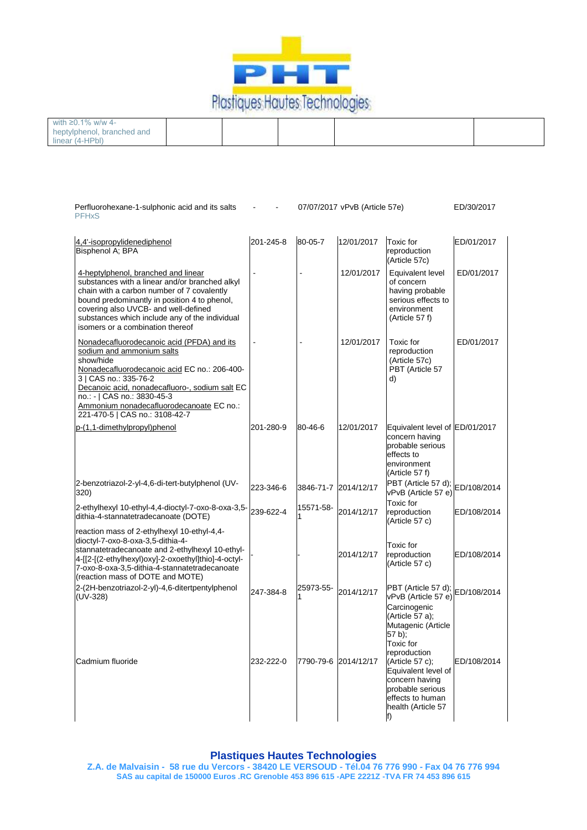

| with ≥0.1% w/w 4-          |  |  |  |
|----------------------------|--|--|--|
| heptylphenol, branched and |  |  |  |
| linear (4-HPbl)            |  |  |  |

| Perfluorohexane-1-sulphonic acid and its salts<br><b>PFHxS</b>                                                                                                                                                                                                                                                               |           |           | 07/07/2017 vPvB (Article 57e) |                                                                                                                                                        | ED/30/2017  |
|------------------------------------------------------------------------------------------------------------------------------------------------------------------------------------------------------------------------------------------------------------------------------------------------------------------------------|-----------|-----------|-------------------------------|--------------------------------------------------------------------------------------------------------------------------------------------------------|-------------|
| 4,4'-isopropylidenediphenol<br>Bisphenol A; BPA                                                                                                                                                                                                                                                                              | 201-245-8 | 80-05-7   | 12/01/2017                    | Toxic for<br>reproduction<br>(Article 57c)                                                                                                             | ED/01/2017  |
| 4-heptylphenol, branched and linear<br>substances with a linear and/or branched alkyl<br>chain with a carbon number of 7 covalently<br>bound predominantly in position 4 to phenol,<br>covering also UVCB- and well-defined<br>substances which include any of the individual<br>isomers or a combination thereof            |           |           | 12/01/2017                    | Equivalent level<br>of concern<br>having probable<br>serious effects to<br>environment<br>(Article 57 f)                                               | ED/01/2017  |
| Nonadecafluorodecanoic acid (PFDA) and its<br>sodium and ammonium salts<br>show/hide<br>Nonadecafluorodecanoic acid EC no.: 206-400-<br>3   CAS no.: 335-76-2<br>Decanoic acid, nonadecafluoro-, sodium salt EC<br>no.: -   CAS no.: 3830-45-3<br>Ammonium nonadecafluorodecanoate EC no.:<br>221-470-5   CAS no.: 3108-42-7 |           |           | 12/01/2017                    | Toxic for<br>reproduction<br>(Article 57c)<br>PBT (Article 57<br>d)                                                                                    | ED/01/2017  |
| p-(1,1-dimethylpropyl)phenol                                                                                                                                                                                                                                                                                                 | 201-280-9 | 80-46-6   | 12/01/2017                    | Equivalent level of ED/01/2017<br>concern having<br>probable serious<br>effects to<br>environment<br>(Article 57 f)                                    |             |
| 2-benzotriazol-2-yl-4,6-di-tert-butylphenol (UV-<br>320)                                                                                                                                                                                                                                                                     | 223-346-6 |           | 3846-71-7 2014/12/17          | $PBT$ (Article 57 d); $EB/108/2014$<br>vPvB (Article 57 e)                                                                                             |             |
| 2-ethylhexyl 10-ethyl-4,4-dioctyl-7-oxo-8-oxa-3,5-<br>dithia-4-stannatetradecanoate (DOTE)<br>reaction mass of 2-ethylhexyl 10-ethyl-4,4-                                                                                                                                                                                    | 239-622-4 | 15571-58- | 2014/12/17                    | Toxic for<br>reproduction<br>(Article 57 c)                                                                                                            | ED/108/2014 |
| dioctyl-7-oxo-8-oxa-3,5-dithia-4-<br>stannatetradecanoate and 2-ethylhexyl 10-ethyl-<br>4-[[2-[(2-ethylhexyl)oxy]-2-oxoethyl]thio]-4-octyl-<br>7-oxo-8-oxa-3,5-dithia-4-stannatetradecanoate<br>(reaction mass of DOTE and MOTE)                                                                                             |           |           | 2014/12/17                    | Toxic for<br>reproduction<br>(Article 57 c)                                                                                                            | ED/108/2014 |
| 2-(2H-benzotriazol-2-yl)-4,6-ditertpentylphenol<br>(UV-328)                                                                                                                                                                                                                                                                  | 247-384-8 | 25973-55- | 2014/12/17                    | PBT (Article 57 d); ED/108/2014<br>vPvB (Article 57 e)<br>Carcinogenic<br>(Article 57 a);<br>Mutagenic (Article<br>57 b);<br>Toxic for<br>reproduction |             |
| Cadmium fluoride                                                                                                                                                                                                                                                                                                             | 232-222-0 |           | 7790-79-6 2014/12/17          | (Article 57 c);<br>Equivalent level of<br>concern having<br>probable serious<br>effects to human<br>health (Article 57<br>IT)                          | ED/108/2014 |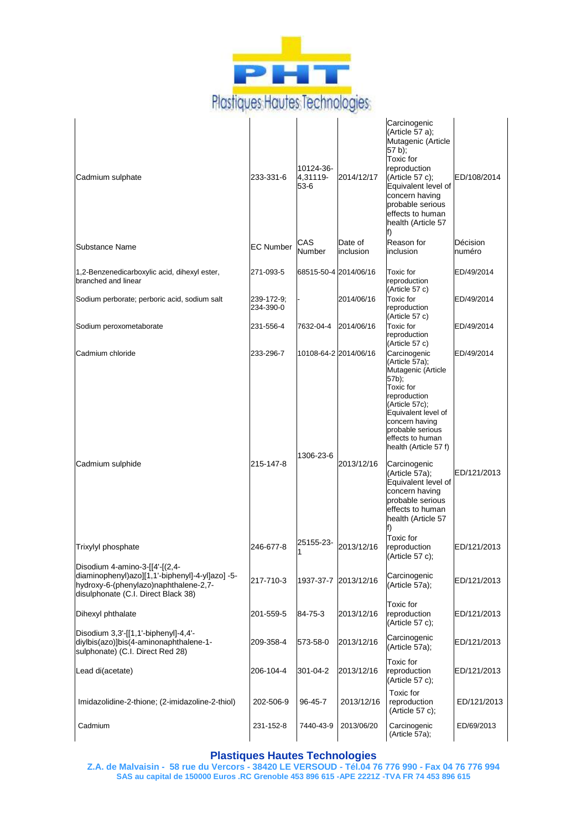

 $\overline{a}$ 

| Cadmium sulphate                                                                                                                                                  | 233-331-6               | 10124-36-<br>4,31119-<br>53-6 | 2014/12/17           | Carcinogenic<br>(Article 57 a);<br>Mutagenic (Article<br>57 b);<br>Toxic for<br>reproduction<br>$(Article 57 c)$ ;<br>Equivalent level of<br>concern having<br>probable serious<br>effects to human<br>health (Article 57 | ED/108/2014        |
|-------------------------------------------------------------------------------------------------------------------------------------------------------------------|-------------------------|-------------------------------|----------------------|---------------------------------------------------------------------------------------------------------------------------------------------------------------------------------------------------------------------------|--------------------|
| Substance Name                                                                                                                                                    | <b>EC Number</b>        | CAS<br>Number                 | Date of<br>inclusion | Reason for<br>inclusion                                                                                                                                                                                                   | Décision<br>numéro |
| 1,2-Benzenedicarboxylic acid, dihexyl ester,<br>branched and linear                                                                                               | 271-093-5               | 68515-50-4 2014/06/16         |                      | Toxic for<br>reproduction<br>(Article 57 c)                                                                                                                                                                               | ED/49/2014         |
| Sodium perborate; perboric acid, sodium salt                                                                                                                      | 239-172-9;<br>234-390-0 |                               | 2014/06/16           | Toxic for<br>reproduction<br>(Article 57 c)                                                                                                                                                                               | ED/49/2014         |
| Sodium peroxometaborate                                                                                                                                           | 231-556-4               | 7632-04-4                     | 2014/06/16           | Toxic for<br>reproduction<br>(Article 57 c)                                                                                                                                                                               | ED/49/2014         |
| Cadmium chloride                                                                                                                                                  | 233-296-7               | 10108-64-2 2014/06/16         |                      | Carcinogenic<br>(Article 57a);<br>Mutagenic (Article<br>57b);<br>Toxic for<br>reproduction<br>(Article 57c);<br>Equivalent level of<br>concern having<br>probable serious<br>effects to human<br>health (Article 57 f)    | ED/49/2014         |
| Cadmium sulphide                                                                                                                                                  | 215-147-8               | 1306-23-6                     | 2013/12/16           | Carcinogenic<br>(Article 57a);<br>Equivalent level of<br>concern having<br>probable serious<br>effects to human<br>health (Article 57                                                                                     | ED/121/2013        |
| Trixylyl phosphate                                                                                                                                                | 246-677-8               | 25155-23-                     | 2013/12/16           | Toxic for<br>reproduction<br>(Article 57 c);                                                                                                                                                                              | ED/121/2013        |
| Disodium 4-amino-3-[[4'-[(2,4-<br>diaminophenyl)azo][1,1'-biphenyl]-4-yl]azo] -5-<br>hydroxy-6-(phenylazo)naphthalene-2,7-<br>disulphonate (C.I. Direct Black 38) | 217-710-3               |                               | 1937-37-7 2013/12/16 | Carcinogenic<br>(Article 57a);                                                                                                                                                                                            | ED/121/2013        |
| Dihexyl phthalate                                                                                                                                                 | 201-559-5               | 84-75-3                       | 2013/12/16           | Toxic for<br>reproduction<br>(Article 57 c);                                                                                                                                                                              | ED/121/2013        |
| Disodium 3,3'-[[1,1'-biphenyl]-4,4'-<br>diylbis(azo)]bis(4-aminonaphthalene-1-<br>sulphonate) (C.I. Direct Red 28)                                                | 209-358-4               | 573-58-0                      | 2013/12/16           | Carcinogenic<br>(Article 57a);                                                                                                                                                                                            | ED/121/2013        |
| Lead di(acetate)                                                                                                                                                  | 206-104-4               | 301-04-2                      | 2013/12/16           | Toxic for<br>reproduction<br>(Article 57 c);                                                                                                                                                                              | ED/121/2013        |
| Imidazolidine-2-thione; (2-imidazoline-2-thiol)                                                                                                                   | 202-506-9               | 96-45-7                       | 2013/12/16           | Toxic for<br>reproduction<br>(Article 57 c);                                                                                                                                                                              | ED/121/2013        |
| Cadmium                                                                                                                                                           | 231-152-8               | 7440-43-9                     | 2013/06/20           | Carcinogenic<br>(Article 57a);                                                                                                                                                                                            | ED/69/2013         |

#### **Plastiques Hautes Technologies**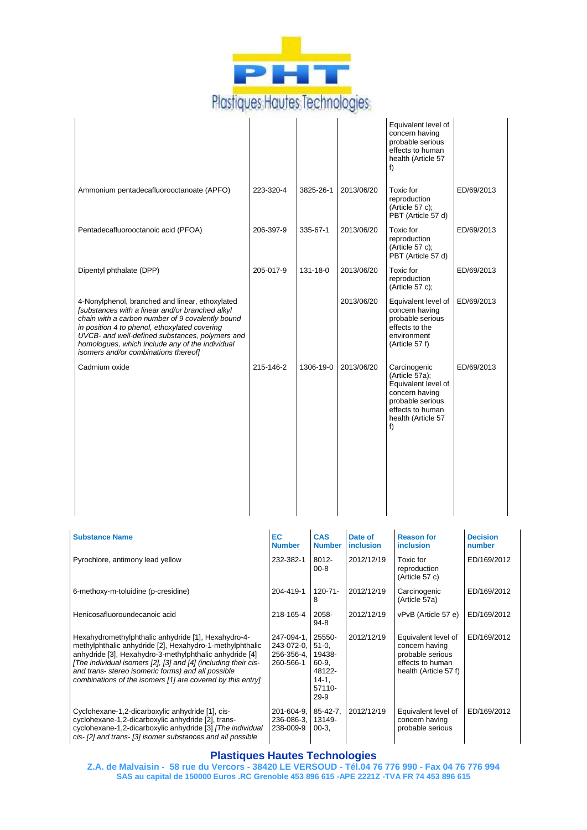

|                                          |                                                                                                                                                                                                                                                                                                                                                                  |                                                     |                                                                             |                             | f) | Equivalent level of<br>concern having<br>probable serious<br>effects to human<br>health (Article 57                                   |                           |  |
|------------------------------------------|------------------------------------------------------------------------------------------------------------------------------------------------------------------------------------------------------------------------------------------------------------------------------------------------------------------------------------------------------------------|-----------------------------------------------------|-----------------------------------------------------------------------------|-----------------------------|----|---------------------------------------------------------------------------------------------------------------------------------------|---------------------------|--|
| Ammonium pentadecafluorooctanoate (APFO) |                                                                                                                                                                                                                                                                                                                                                                  | 223-320-4                                           | 3825-26-1                                                                   | 2013/06/20                  |    | Toxic for<br>reproduction<br>(Article 57 c);<br>PBT (Article 57 d)                                                                    | ED/69/2013                |  |
|                                          | Pentadecafluorooctanoic acid (PFOA)                                                                                                                                                                                                                                                                                                                              | 206-397-9                                           | 335-67-1                                                                    | 2013/06/20                  |    | Toxic for<br>reproduction<br>(Article 57 $c$ );<br>PBT (Article 57 d)                                                                 | ED/69/2013                |  |
|                                          | Dipentyl phthalate (DPP)                                                                                                                                                                                                                                                                                                                                         | 205-017-9                                           | 131-18-0                                                                    | 2013/06/20                  |    | Toxic for<br>reproduction<br>(Article 57 c);                                                                                          | ED/69/2013                |  |
|                                          | 4-Nonylphenol, branched and linear, ethoxylated<br>[substances with a linear and/or branched alkyl]<br>chain with a carbon number of 9 covalently bound<br>in position 4 to phenol, ethoxylated covering<br>UVCB- and well-defined substances, polymers and<br>homologues, which include any of the individual<br>isomers and/or combinations thereof]           |                                                     |                                                                             | 2013/06/20                  |    | Equivalent level of<br>concern having<br>probable serious<br>effects to the<br>environment<br>(Article 57 f)                          | ED/69/2013                |  |
|                                          | Cadmium oxide                                                                                                                                                                                                                                                                                                                                                    | 215-146-2                                           | 1306-19-0                                                                   | 2013/06/20                  | f) | Carcinogenic<br>(Article 57a);<br>Equivalent level of<br>concern having<br>probable serious<br>effects to human<br>health (Article 57 | ED/69/2013                |  |
|                                          |                                                                                                                                                                                                                                                                                                                                                                  |                                                     |                                                                             |                             |    |                                                                                                                                       |                           |  |
|                                          | <b>Substance Name</b>                                                                                                                                                                                                                                                                                                                                            | EC<br><b>Number</b>                                 | <b>CAS</b><br><b>Number</b>                                                 | Date of<br><i>inclusion</i> |    | <b>Reason for</b><br><b>inclusion</b>                                                                                                 | <b>Decision</b><br>number |  |
|                                          | Pyrochlore, antimony lead yellow                                                                                                                                                                                                                                                                                                                                 | 232-382-1                                           | 8012-<br>$00 - 8$                                                           | 2012/12/19                  |    | Toxic for<br>reproduction<br>(Article 57 c)                                                                                           | ED/169/2012               |  |
|                                          | 6-methoxy-m-toluidine (p-cresidine)                                                                                                                                                                                                                                                                                                                              | 204-419-1                                           | $120 - 71 -$<br>8                                                           | 2012/12/19                  |    | Carcinogenic<br>(Article 57a)                                                                                                         | ED/169/2012               |  |
|                                          | Henicosafluoroundecanoic acid                                                                                                                                                                                                                                                                                                                                    | 218-165-4                                           | 2058-<br>94-8                                                               | 2012/12/19                  |    | vPvB (Article 57 e)                                                                                                                   | ED/169/2012               |  |
|                                          | Hexahydromethylphthalic anhydride [1], Hexahydro-4-<br>methylphthalic anhydride [2], Hexahydro-1-methylphthalic<br>anhydride [3], Hexahydro-3-methylphthalic anhydride [4]<br>[The individual isomers [2], [3] and [4] (including their cis-<br>and trans- stereo isomeric forms) and all possible<br>combinations of the isomers [1] are covered by this entry] | 247-094-1,<br>243-072-0,<br>256-356-4,<br>260-566-1 | 25550-<br>$51-0,$<br>19438-<br>60-9,<br>48122-<br>$14-1,$<br>57110-<br>29-9 | 2012/12/19                  |    | Equivalent level of<br>concern having<br>probable serious<br>effects to human<br>health (Article 57 f)                                | ED/169/2012               |  |
|                                          | Cyclohexane-1,2-dicarboxylic anhydride [1], cis-<br>cyclohexane-1,2-dicarboxylic anhydride [2], trans-<br>cyclohexane-1,2-dicarboxylic anhydride [3] [The individual<br>cis- [2] and trans- [3] isomer substances and all possible                                                                                                                               | 201-604-9,<br>236-086-3,<br>238-009-9               | $85 - 42 - 7$ ,<br>13149-<br>$00-3,$                                        | 2012/12/19                  |    | Equivalent level of<br>concern having<br>probable serious                                                                             | ED/169/2012               |  |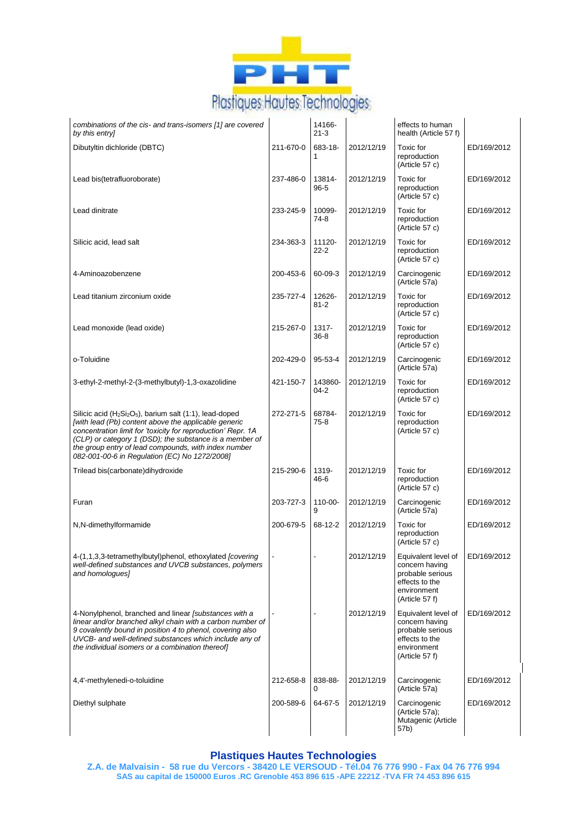

| combinations of the cis- and trans-isomers [1] are covered<br>by this entry]                                                                                                                                                                                                                                                                                                             |           | 14166-<br>$21 - 3$  |            | effects to human<br>health (Article 57 f)                                                                    |             |
|------------------------------------------------------------------------------------------------------------------------------------------------------------------------------------------------------------------------------------------------------------------------------------------------------------------------------------------------------------------------------------------|-----------|---------------------|------------|--------------------------------------------------------------------------------------------------------------|-------------|
| Dibutyltin dichloride (DBTC)                                                                                                                                                                                                                                                                                                                                                             | 211-670-0 | 683-18-<br>1        | 2012/12/19 | Toxic for<br>reproduction<br>(Article 57 c)                                                                  | ED/169/2012 |
| Lead bis(tetrafluoroborate)                                                                                                                                                                                                                                                                                                                                                              | 237-486-0 | 13814-<br>$96 - 5$  | 2012/12/19 | Toxic for<br>reproduction<br>(Article 57 c)                                                                  | ED/169/2012 |
| Lead dinitrate                                                                                                                                                                                                                                                                                                                                                                           | 233-245-9 | 10099-<br>74-8      | 2012/12/19 | Toxic for<br>reproduction<br>(Article 57 c)                                                                  | ED/169/2012 |
| Silicic acid, lead salt                                                                                                                                                                                                                                                                                                                                                                  | 234-363-3 | 11120-<br>$22 - 2$  | 2012/12/19 | Toxic for<br>reproduction<br>(Article 57 c)                                                                  | ED/169/2012 |
| 4-Aminoazobenzene                                                                                                                                                                                                                                                                                                                                                                        | 200-453-6 | 60-09-3             | 2012/12/19 | Carcinogenic<br>(Article 57a)                                                                                | ED/169/2012 |
| Lead titanium zirconium oxide                                                                                                                                                                                                                                                                                                                                                            | 235-727-4 | 12626-<br>$81 - 2$  | 2012/12/19 | Toxic for<br>reproduction<br>(Article 57 c)                                                                  | ED/169/2012 |
| Lead monoxide (lead oxide)                                                                                                                                                                                                                                                                                                                                                               | 215-267-0 | 1317-<br>$36 - 8$   | 2012/12/19 | Toxic for<br>reproduction<br>(Article 57 c)                                                                  | ED/169/2012 |
| o-Toluidine                                                                                                                                                                                                                                                                                                                                                                              | 202-429-0 | 95-53-4             | 2012/12/19 | Carcinogenic<br>(Article 57a)                                                                                | ED/169/2012 |
| 3-ethyl-2-methyl-2-(3-methylbutyl)-1,3-oxazolidine                                                                                                                                                                                                                                                                                                                                       | 421-150-7 | 143860-<br>$04 - 2$ | 2012/12/19 | Toxic for<br>reproduction<br>(Article 57 c)                                                                  | ED/169/2012 |
| Silicic acid (H <sub>2</sub> Si <sub>2</sub> O <sub>5</sub> ), barium salt (1:1), lead-doped<br>[with lead (Pb) content above the applicable generic<br>concentration limit for 'toxicity for reproduction' Repr. 1A<br>(CLP) or category 1 (DSD); the substance is a member of<br>the group entry of lead compounds, with index number<br>082-001-00-6 in Regulation (EC) No 1272/2008] | 272-271-5 | 68784-<br>$75-8$    | 2012/12/19 | Toxic for<br>reproduction<br>(Article 57 c)                                                                  | ED/169/2012 |
| Trilead bis(carbonate)dihydroxide                                                                                                                                                                                                                                                                                                                                                        | 215-290-6 | 1319-<br>46-6       | 2012/12/19 | Toxic for<br>reproduction<br>(Article 57 c)                                                                  | ED/169/2012 |
| Furan                                                                                                                                                                                                                                                                                                                                                                                    | 203-727-3 | 110-00-<br>9        | 2012/12/19 | Carcinogenic<br>(Article 57a)                                                                                | ED/169/2012 |
| N,N-dimethylformamide                                                                                                                                                                                                                                                                                                                                                                    | 200-679-5 | 68-12-2             | 2012/12/19 | Toxic for<br>reproduction<br>(Article 57 c)                                                                  | ED/169/2012 |
| 4-(1,1,3,3-tetramethylbutyl)phenol, ethoxylated [covering<br>well-defined substances and UVCB substances, polymers<br>and homoloques]                                                                                                                                                                                                                                                    |           |                     | 2012/12/19 | Equivalent level of<br>concern having<br>probable serious<br>effects to the<br>environment<br>(Article 57 f) | ED/169/2012 |
| 4-Nonylphenol, branched and linear [substances with a<br>linear and/or branched alkyl chain with a carbon number of<br>9 covalently bound in position 4 to phenol, covering also<br>UVCB- and well-defined substances which include any of<br>the individual isomers or a combination thereof]                                                                                           |           |                     | 2012/12/19 | Equivalent level of<br>concern having<br>probable serious<br>effects to the<br>environment<br>(Article 57 f) | ED/169/2012 |
| 4,4'-methylenedi-o-toluidine                                                                                                                                                                                                                                                                                                                                                             | 212-658-8 | 838-88-<br>0        | 2012/12/19 | Carcinogenic<br>(Article 57a)                                                                                | ED/169/2012 |
| Diethyl sulphate                                                                                                                                                                                                                                                                                                                                                                         | 200-589-6 | 64-67-5             | 2012/12/19 | Carcinogenic<br>(Article 57a);<br>Mutagenic (Article<br>57b)                                                 | ED/169/2012 |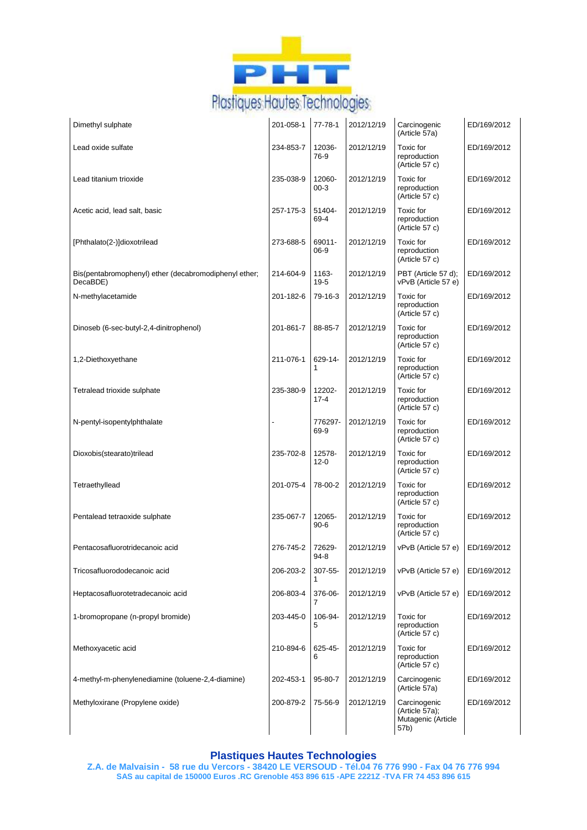

| Dimethyl sulphate                                                 | 201-058-1 | 77-78-1            | 2012/12/19 | Carcinogenic<br>(Article 57a)                                | ED/169/2012 |
|-------------------------------------------------------------------|-----------|--------------------|------------|--------------------------------------------------------------|-------------|
| Lead oxide sulfate                                                | 234-853-7 | 12036-<br>76-9     | 2012/12/19 | <b>Toxic</b> for<br>reproduction<br>(Article 57 c)           | ED/169/2012 |
| Lead titanium trioxide                                            | 235-038-9 | 12060-<br>$00-3$   | 2012/12/19 | Toxic for<br>reproduction<br>(Article 57 c)                  | ED/169/2012 |
| Acetic acid, lead salt, basic                                     | 257-175-3 | 51404-<br>69-4     | 2012/12/19 | Toxic for<br>reproduction<br>(Article 57 c)                  | ED/169/2012 |
| [Phthalato(2-)]dioxotrilead                                       | 273-688-5 | 69011-<br>$06-9$   | 2012/12/19 | <b>Toxic</b> for<br>reproduction<br>(Article 57 c)           | ED/169/2012 |
| Bis(pentabromophenyl) ether (decabromodiphenyl ether;<br>DecaBDE) | 214-604-9 | 1163-<br>$19 - 5$  | 2012/12/19 | PBT (Article 57 d);<br>vPvB (Article 57 e)                   | ED/169/2012 |
| N-methylacetamide                                                 | 201-182-6 | 79-16-3            | 2012/12/19 | Toxic for<br>reproduction<br>(Article 57 c)                  | ED/169/2012 |
| Dinoseb (6-sec-butyl-2,4-dinitrophenol)                           | 201-861-7 | 88-85-7            | 2012/12/19 | Toxic for<br>reproduction<br>(Article 57 c)                  | ED/169/2012 |
| 1,2-Diethoxyethane                                                | 211-076-1 | 629-14-<br>1       | 2012/12/19 | <b>Toxic</b> for<br>reproduction<br>(Article 57 c)           | ED/169/2012 |
| Tetralead trioxide sulphate                                       | 235-380-9 | 12202-<br>$17 - 4$ | 2012/12/19 | Toxic for<br>reproduction<br>(Article 57 c)                  | ED/169/2012 |
| N-pentyl-isopentylphthalate                                       |           | 776297-<br>69-9    | 2012/12/19 | <b>Toxic</b> for<br>reproduction<br>(Article 57 c)           | ED/169/2012 |
| Dioxobis(stearato)trilead                                         | 235-702-8 | 12578-<br>$12 - 0$ | 2012/12/19 | Toxic for<br>reproduction<br>(Article 57 c)                  | ED/169/2012 |
| Tetraethyllead                                                    | 201-075-4 | 78-00-2            | 2012/12/19 | Toxic for<br>reproduction<br>(Article 57 c)                  | ED/169/2012 |
| Pentalead tetraoxide sulphate                                     | 235-067-7 | 12065-<br>$90 - 6$ | 2012/12/19 | <b>Toxic</b> for<br>reproduction<br>(Article 57 c)           | ED/169/2012 |
| Pentacosafluorotridecanoic acid                                   | 276-745-2 | 72629-<br>$94 - 8$ | 2012/12/19 | vPvB (Article 57 e)                                          | ED/169/2012 |
| Tricosafluorododecanoic acid                                      | 206-203-2 | 307-55-            | 2012/12/19 | vPvB (Article 57 e)                                          | ED/169/2012 |
| Heptacosafluorotetradecanoic acid                                 | 206-803-4 | 376-06-            | 2012/12/19 | vPvB (Article 57 e)                                          | ED/169/2012 |
| 1-bromopropane (n-propyl bromide)                                 | 203-445-0 | 106-94-<br>5       | 2012/12/19 | Toxic for<br>reproduction<br>(Article 57 c)                  | ED/169/2012 |
| Methoxyacetic acid                                                | 210-894-6 | 625-45-<br>6       | 2012/12/19 | Toxic for<br>reproduction<br>(Article 57 c)                  | ED/169/2012 |
| 4-methyl-m-phenylenediamine (toluene-2,4-diamine)                 | 202-453-1 | 95-80-7            | 2012/12/19 | Carcinogenic<br>(Article 57a)                                | ED/169/2012 |
| Methyloxirane (Propylene oxide)                                   | 200-879-2 | 75-56-9            | 2012/12/19 | Carcinogenic<br>(Article 57a);<br>Mutagenic (Article<br>57b) | ED/169/2012 |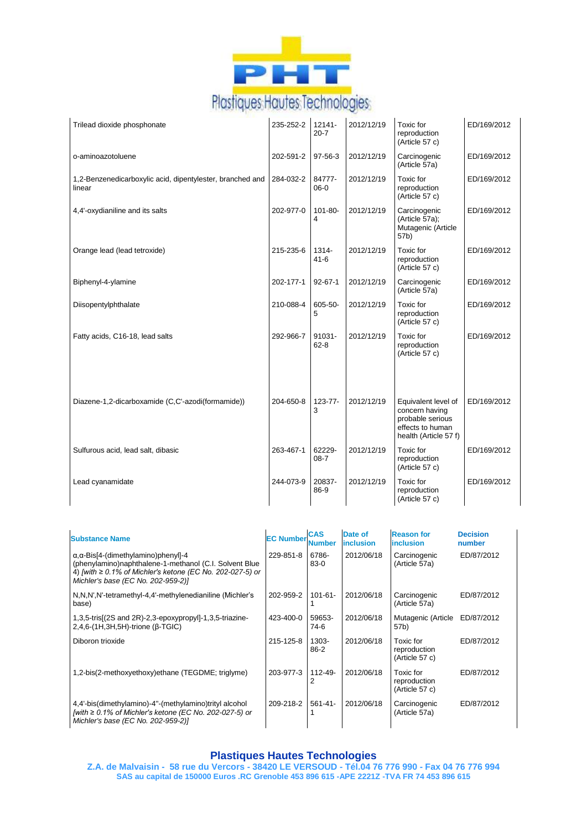

| Trilead dioxide phosphonate                                         | 235-252-2 | $12141 -$<br>$20 - 7$ | 2012/12/19 | Toxic for<br>reproduction<br>(Article 57 c)                                                            | ED/169/2012 |
|---------------------------------------------------------------------|-----------|-----------------------|------------|--------------------------------------------------------------------------------------------------------|-------------|
| o-aminoazotoluene                                                   | 202-591-2 | 97-56-3               | 2012/12/19 | Carcinogenic<br>(Article 57a)                                                                          | ED/169/2012 |
| 1,2-Benzenedicarboxylic acid, dipentylester, branched and<br>linear | 284-032-2 | 84777-<br>$06-0$      | 2012/12/19 | Toxic for<br>reproduction<br>(Article 57 c)                                                            | ED/169/2012 |
| 4,4'-oxydianiline and its salts                                     | 202-977-0 | 101-80-<br>4          | 2012/12/19 | Carcinogenic<br>(Article 57a);<br>Mutagenic (Article<br>57b)                                           | ED/169/2012 |
| Orange lead (lead tetroxide)                                        | 215-235-6 | 1314-<br>$41 - 6$     | 2012/12/19 | Toxic for<br>reproduction<br>(Article 57 c)                                                            | ED/169/2012 |
| Biphenyl-4-ylamine                                                  | 202-177-1 | $92 - 67 - 1$         | 2012/12/19 | Carcinogenic<br>(Article 57a)                                                                          | ED/169/2012 |
| Diisopentylphthalate                                                | 210-088-4 | 605-50-<br>5          | 2012/12/19 | Toxic for<br>reproduction<br>(Article 57 c)                                                            | ED/169/2012 |
| Fatty acids, C16-18, lead salts                                     | 292-966-7 | 91031-<br>$62 - 8$    | 2012/12/19 | Toxic for<br>reproduction<br>(Article 57 c)                                                            | ED/169/2012 |
| Diazene-1,2-dicarboxamide (C,C'-azodi(formamide))                   | 204-650-8 | 123-77-<br>3          | 2012/12/19 | Equivalent level of<br>concern having<br>probable serious<br>effects to human<br>health (Article 57 f) | ED/169/2012 |
| Sulfurous acid, lead salt, dibasic                                  | 263-467-1 | 62229-<br>$08 - 7$    | 2012/12/19 | Toxic for<br>reproduction<br>(Article 57 c)                                                            | ED/169/2012 |
| Lead cyanamidate                                                    | 244-073-9 | 20837-<br>86-9        | 2012/12/19 | Toxic for<br>reproduction<br>(Article 57 c)                                                            | ED/169/2012 |

| <b>Substance Name</b>                                                                                                                                                                                                  | <b>EC Number</b> | <b>CAS</b><br><b>Number</b> | Date of<br><i>inclusion</i> | <b>Reason for</b><br>inclusion              | <b>Decision</b><br>number |
|------------------------------------------------------------------------------------------------------------------------------------------------------------------------------------------------------------------------|------------------|-----------------------------|-----------------------------|---------------------------------------------|---------------------------|
| $\alpha$ , $\alpha$ -Bis[4-(dimethylamino)phenyl]-4<br>(phenylamino)naphthalene-1-methanol (C.I. Solvent Blue<br>4) [with $\geq 0.1\%$ of Michler's ketone (EC No. 202-027-5) or<br>Michler's base (EC No. 202-959-2)] | 229-851-8        | 6786-<br>$83-0$             | 2012/06/18                  | Carcinogenic<br>(Article 57a)               | ED/87/2012                |
| N, N, N', N'-tetramethyl-4, 4'-methylenedianiline (Michler's<br>base)                                                                                                                                                  | 202-959-2        | $101 - 61 -$                | 2012/06/18                  | Carcinogenic<br>(Article 57a)               | ED/87/2012                |
| 1,3,5-tris[(2S and 2R)-2,3-epoxypropyl]-1,3,5-triazine-<br>$2,4,6-(1H,3H,5H)$ -trione ( $\beta$ -TGIC)                                                                                                                 | 423-400-0        | 59653-<br>74-6              | 2012/06/18                  | Mutagenic (Article<br>57b)                  | ED/87/2012                |
| Diboron trioxide                                                                                                                                                                                                       | 215-125-8        | 1303-<br>$86 - 2$           | 2012/06/18                  | Toxic for<br>reproduction<br>(Article 57 c) | ED/87/2012                |
| 1,2-bis(2-methoxyethoxy)ethane (TEGDME; triglyme)                                                                                                                                                                      | 203-977-3        | $112 - 49 -$                | 2012/06/18                  | Toxic for<br>reproduction<br>(Article 57 c) | ED/87/2012                |
| 4,4'-bis(dimethylamino)-4"-(methylamino)trityl alcohol<br>[with $\geq 0.1\%$ of Michler's ketone (EC No. 202-027-5) or<br>Michler's base (EC No. 202-959-2)]                                                           | 209-218-2        | $561 - 41 -$                | 2012/06/18                  | Carcinogenic<br>(Article 57a)               | ED/87/2012                |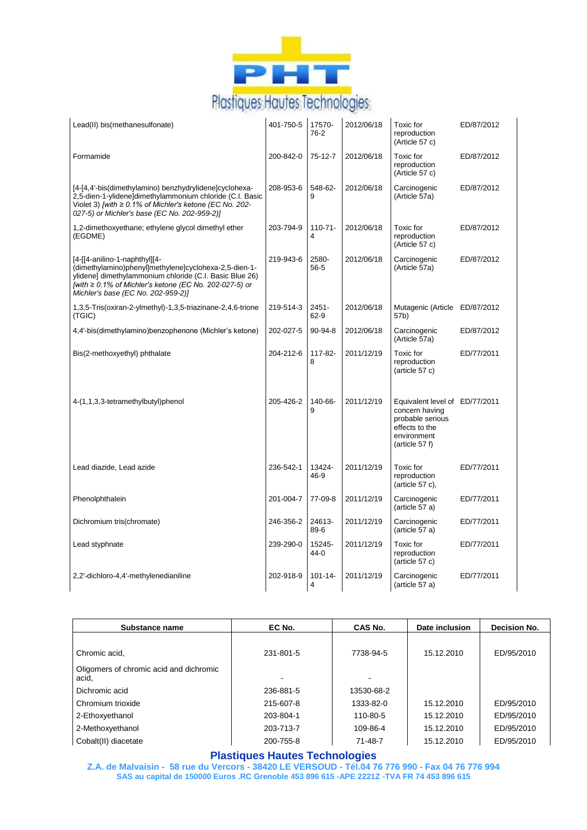

| Lead(II) bis(methanesulfonate)                                                                                                                                                                                                                    | 401-750-5 | 17570-<br>76-2    | 2012/06/18 | Toxic for<br>reproduction<br>(Article 57 c)                                                                             | ED/87/2012 |
|---------------------------------------------------------------------------------------------------------------------------------------------------------------------------------------------------------------------------------------------------|-----------|-------------------|------------|-------------------------------------------------------------------------------------------------------------------------|------------|
| Formamide                                                                                                                                                                                                                                         | 200-842-0 | 75-12-7           | 2012/06/18 | Toxic for<br>reproduction<br>(Article 57 c)                                                                             | ED/87/2012 |
| [4-[4,4'-bis(dimethylamino) benzhydrylidene]cyclohexa-<br>2,5-dien-1-ylidene]dimethylammonium chloride (C.I. Basic<br>Violet 3) [with $\geq 0.1\%$ of Michler's ketone (EC No. 202-<br>027-5) or Michler's base (EC No. 202-959-2)]               | 208-953-6 | 548-62-<br>9      | 2012/06/18 | Carcinogenic<br>(Article 57a)                                                                                           | ED/87/2012 |
| 1,2-dimethoxyethane; ethylene glycol dimethyl ether<br>(EGDME)                                                                                                                                                                                    | 203-794-9 | $110 - 71 -$<br>4 | 2012/06/18 | Toxic for<br>reproduction<br>(Article 57 c)                                                                             | ED/87/2012 |
| [4-[[4-anilino-1-naphthyl][4-<br>(dimethylamino)phenyl]methylene]cyclohexa-2,5-dien-1-<br>ylidene] dimethylammonium chloride (C.I. Basic Blue 26)<br>[with ≥ 0.1% of Michler's ketone (EC No. 202-027-5) or<br>Michler's base (EC No. 202-959-2)] | 219-943-6 | 2580-<br>56-5     | 2012/06/18 | Carcinogenic<br>(Article 57a)                                                                                           | ED/87/2012 |
| 1,3,5-Tris(oxiran-2-ylmethyl)-1,3,5-triazinane-2,4,6-trione<br>(TGIC)                                                                                                                                                                             | 219-514-3 | $2451 -$<br>62-9  | 2012/06/18 | Mutagenic (Article ED/87/2012<br>57b)                                                                                   |            |
| 4,4'-bis(dimethylamino)benzophenone (Michler's ketone)                                                                                                                                                                                            | 202-027-5 | $90 - 94 - 8$     | 2012/06/18 | Carcinogenic<br>(Article 57a)                                                                                           | ED/87/2012 |
| Bis(2-methoxyethyl) phthalate                                                                                                                                                                                                                     | 204-212-6 | 117-82-<br>8      | 2011/12/19 | Toxic for<br>reproduction<br>(article 57 c)                                                                             | ED/77/2011 |
| 4-(1,1,3,3-tetramethylbutyl)phenol                                                                                                                                                                                                                | 205-426-2 | 140-66-<br>9      | 2011/12/19 | Equivalent level of ED/77/2011<br>concern having<br>probable serious<br>effects to the<br>environment<br>(article 57 f) |            |
| Lead diazide, Lead azide                                                                                                                                                                                                                          | 236-542-1 | 13424-<br>46-9    | 2011/12/19 | Toxic for<br>reproduction<br>(article $57$ c),                                                                          | ED/77/2011 |
| Phenolphthalein                                                                                                                                                                                                                                   | 201-004-7 | 77-09-8           | 2011/12/19 | Carcinogenic<br>(article 57 a)                                                                                          | ED/77/2011 |
| Dichromium tris(chromate)                                                                                                                                                                                                                         | 246-356-2 | 24613-<br>89-6    | 2011/12/19 | Carcinogenic<br>(article 57 a)                                                                                          | ED/77/2011 |
| Lead styphnate                                                                                                                                                                                                                                    | 239-290-0 | 15245-<br>$44-0$  | 2011/12/19 | Toxic for<br>reproduction<br>(article 57 c)                                                                             | ED/77/2011 |
| 2,2'-dichloro-4,4'-methylenedianiline                                                                                                                                                                                                             | 202-918-9 | $101 - 14 -$<br>4 | 2011/12/19 | Carcinogenic<br>(article 57 a)                                                                                          | ED/77/2011 |

| Substance name                                   | EC No.    | CAS No.    | Date inclusion | Decision No. |
|--------------------------------------------------|-----------|------------|----------------|--------------|
|                                                  |           |            |                |              |
| Chromic acid.                                    | 231-801-5 | 7738-94-5  | 15.12.2010     | ED/95/2010   |
| Oligomers of chromic acid and dichromic<br>acid, |           |            |                |              |
| Dichromic acid                                   | 236-881-5 | 13530-68-2 |                |              |
| Chromium trioxide                                | 215-607-8 | 1333-82-0  | 15.12.2010     | ED/95/2010   |
| 2-Ethoxyethanol                                  | 203-804-1 | 110-80-5   | 15.12.2010     | ED/95/2010   |
| 2-Methoxyethanol                                 | 203-713-7 | 109-86-4   | 15.12.2010     | ED/95/2010   |
| Cobalt(II) diacetate                             | 200-755-8 | 71-48-7    | 15.12.2010     | ED/95/2010   |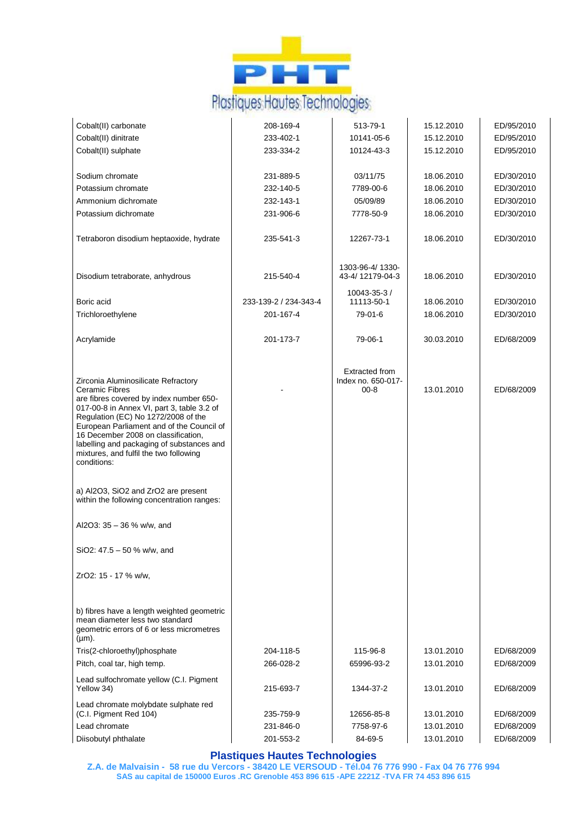

| Cobalt(II) carbonate                                                                                                                                                                                                                                                        | 208-169-4             | 513-79-1                                                | 15.12.2010 | ED/95/2010 |
|-----------------------------------------------------------------------------------------------------------------------------------------------------------------------------------------------------------------------------------------------------------------------------|-----------------------|---------------------------------------------------------|------------|------------|
| Cobalt(II) dinitrate                                                                                                                                                                                                                                                        | 233-402-1             | 10141-05-6                                              | 15.12.2010 | ED/95/2010 |
| Cobalt(II) sulphate                                                                                                                                                                                                                                                         | 233-334-2             | 10124-43-3                                              | 15.12.2010 | ED/95/2010 |
|                                                                                                                                                                                                                                                                             |                       |                                                         |            |            |
| Sodium chromate                                                                                                                                                                                                                                                             | 231-889-5             | 03/11/75                                                | 18.06.2010 | ED/30/2010 |
| Potassium chromate                                                                                                                                                                                                                                                          | 232-140-5             | 7789-00-6                                               | 18.06.2010 | ED/30/2010 |
| Ammonium dichromate                                                                                                                                                                                                                                                         | 232-143-1             | 05/09/89                                                | 18.06.2010 | ED/30/2010 |
| Potassium dichromate                                                                                                                                                                                                                                                        | 231-906-6             | 7778-50-9                                               | 18.06.2010 | ED/30/2010 |
| Tetraboron disodium heptaoxide, hydrate                                                                                                                                                                                                                                     | 235-541-3             | 12267-73-1                                              | 18.06.2010 | ED/30/2010 |
| Disodium tetraborate, anhydrous                                                                                                                                                                                                                                             | 215-540-4             | 1303-96-4/1330-<br>43-4/12179-04-3                      | 18.06.2010 | ED/30/2010 |
| Boric acid                                                                                                                                                                                                                                                                  | 233-139-2 / 234-343-4 | 10043-35-3/<br>11113-50-1                               | 18.06.2010 | ED/30/2010 |
| Trichloroethylene                                                                                                                                                                                                                                                           | 201-167-4             | 79-01-6                                                 | 18.06.2010 | ED/30/2010 |
|                                                                                                                                                                                                                                                                             |                       |                                                         |            |            |
| Acrylamide                                                                                                                                                                                                                                                                  | 201-173-7             | 79-06-1                                                 | 30.03.2010 | ED/68/2009 |
| Zirconia Aluminosilicate Refractory<br><b>Ceramic Fibres</b><br>are fibres covered by index number 650-                                                                                                                                                                     |                       | <b>Extracted from</b><br>Index no. 650-017-<br>$00 - 8$ | 13.01.2010 | ED/68/2009 |
| 017-00-8 in Annex VI, part 3, table 3.2 of<br>Regulation (EC) No 1272/2008 of the<br>European Parliament and of the Council of<br>16 December 2008 on classification,<br>labelling and packaging of substances and<br>mixtures, and fulfil the two following<br>conditions: |                       |                                                         |            |            |
| a) Al2O3, SiO2 and ZrO2 are present<br>within the following concentration ranges:                                                                                                                                                                                           |                       |                                                         |            |            |
| Al2O3: 35 - 36 % w/w, and                                                                                                                                                                                                                                                   |                       |                                                         |            |            |
| SiO2: $47.5 - 50$ % w/w, and                                                                                                                                                                                                                                                |                       |                                                         |            |            |
| ZrO2: 15 - 17 % w/w,                                                                                                                                                                                                                                                        |                       |                                                         |            |            |
| b) fibres have a length weighted geometric<br>mean diameter less two standard<br>geometric errors of 6 or less micrometres<br>$(\mu m)$ .                                                                                                                                   |                       |                                                         |            |            |
| Tris(2-chloroethyl)phosphate                                                                                                                                                                                                                                                | 204-118-5             | 115-96-8                                                | 13.01.2010 | ED/68/2009 |
| Pitch, coal tar, high temp.                                                                                                                                                                                                                                                 | 266-028-2             | 65996-93-2                                              | 13.01.2010 | ED/68/2009 |
| Lead sulfochromate yellow (C.I. Pigment<br>Yellow 34)                                                                                                                                                                                                                       | 215-693-7             | 1344-37-2                                               | 13.01.2010 | ED/68/2009 |
| Lead chromate molybdate sulphate red                                                                                                                                                                                                                                        |                       |                                                         |            |            |
| (C.I. Pigment Red 104)                                                                                                                                                                                                                                                      | 235-759-9             | 12656-85-8                                              | 13.01.2010 | ED/68/2009 |
| Lead chromate                                                                                                                                                                                                                                                               | 231-846-0             | 7758-97-6                                               | 13.01.2010 | ED/68/2009 |
| Diisobutyl phthalate                                                                                                                                                                                                                                                        | 201-553-2             | 84-69-5                                                 | 13.01.2010 | ED/68/2009 |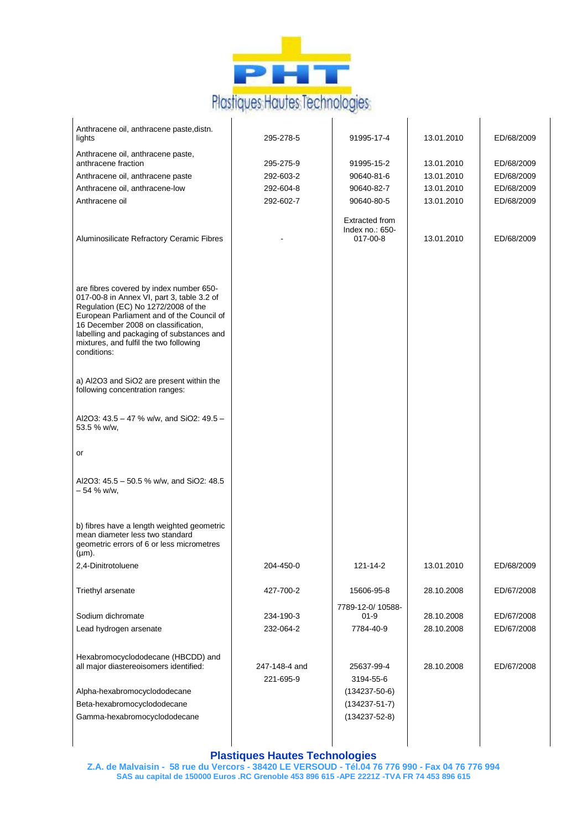

| Anthracene oil, anthracene paste, distn.<br>lights                                                                                                                                                                                                                                                                     | 295-278-5                  | 91995-17-4                                           | 13.01.2010 | ED/68/2009 |
|------------------------------------------------------------------------------------------------------------------------------------------------------------------------------------------------------------------------------------------------------------------------------------------------------------------------|----------------------------|------------------------------------------------------|------------|------------|
| Anthracene oil, anthracene paste,<br>anthracene fraction                                                                                                                                                                                                                                                               | 295-275-9                  | 91995-15-2                                           | 13.01.2010 | ED/68/2009 |
| Anthracene oil, anthracene paste                                                                                                                                                                                                                                                                                       | 292-603-2                  | 90640-81-6                                           | 13.01.2010 | ED/68/2009 |
| Anthracene oil, anthracene-low                                                                                                                                                                                                                                                                                         | 292-604-8                  | 90640-82-7                                           | 13.01.2010 | ED/68/2009 |
| Anthracene oil                                                                                                                                                                                                                                                                                                         | 292-602-7                  | 90640-80-5                                           | 13.01.2010 | ED/68/2009 |
|                                                                                                                                                                                                                                                                                                                        |                            |                                                      |            |            |
| Aluminosilicate Refractory Ceramic Fibres                                                                                                                                                                                                                                                                              |                            | <b>Extracted from</b><br>Index no.: 650-<br>017-00-8 | 13.01.2010 | ED/68/2009 |
| are fibres covered by index number 650-<br>017-00-8 in Annex VI, part 3, table 3.2 of<br>Regulation (EC) No 1272/2008 of the<br>European Parliament and of the Council of<br>16 December 2008 on classification,<br>labelling and packaging of substances and<br>mixtures, and fulfil the two following<br>conditions: |                            |                                                      |            |            |
| a) Al2O3 and SiO2 are present within the<br>following concentration ranges:                                                                                                                                                                                                                                            |                            |                                                      |            |            |
| Al2O3: 43.5 - 47 % w/w, and SiO2: 49.5 -<br>53.5 % w/w,                                                                                                                                                                                                                                                                |                            |                                                      |            |            |
| or                                                                                                                                                                                                                                                                                                                     |                            |                                                      |            |            |
| Al2O3: 45.5 - 50.5 % w/w, and SiO2: 48.5<br>$-54$ % w/w,                                                                                                                                                                                                                                                               |                            |                                                      |            |            |
| b) fibres have a length weighted geometric<br>mean diameter less two standard<br>geometric errors of 6 or less micrometres<br>$(\mu m)$ .                                                                                                                                                                              |                            |                                                      |            |            |
| 2,4-Dinitrotoluene                                                                                                                                                                                                                                                                                                     | 204-450-0                  | 121-14-2                                             | 13.01.2010 | ED/68/2009 |
| Triethyl arsenate                                                                                                                                                                                                                                                                                                      | 427-700-2                  | 15606-95-8                                           | 28.10.2008 | ED/67/2008 |
| Sodium dichromate                                                                                                                                                                                                                                                                                                      | 234-190-3                  | 7789-12-0/10588-<br>$01 - 9$                         | 28.10.2008 | ED/67/2008 |
| Lead hydrogen arsenate                                                                                                                                                                                                                                                                                                 | 232-064-2                  | 7784-40-9                                            | 28.10.2008 | ED/67/2008 |
|                                                                                                                                                                                                                                                                                                                        |                            |                                                      |            |            |
| Hexabromocyclododecane (HBCDD) and<br>all major diastereoisomers identified:                                                                                                                                                                                                                                           | 247-148-4 and<br>221-695-9 | 25637-99-4<br>3194-55-6                              | 28.10.2008 | ED/67/2008 |
| Alpha-hexabromocyclododecane                                                                                                                                                                                                                                                                                           |                            | $(134237 - 50 - 6)$                                  |            |            |
| Beta-hexabromocyclododecane                                                                                                                                                                                                                                                                                            |                            | $(134237 - 51 - 7)$                                  |            |            |
| Gamma-hexabromocyclododecane                                                                                                                                                                                                                                                                                           |                            | $(134237 - 52 - 8)$                                  |            |            |
|                                                                                                                                                                                                                                                                                                                        |                            |                                                      |            |            |